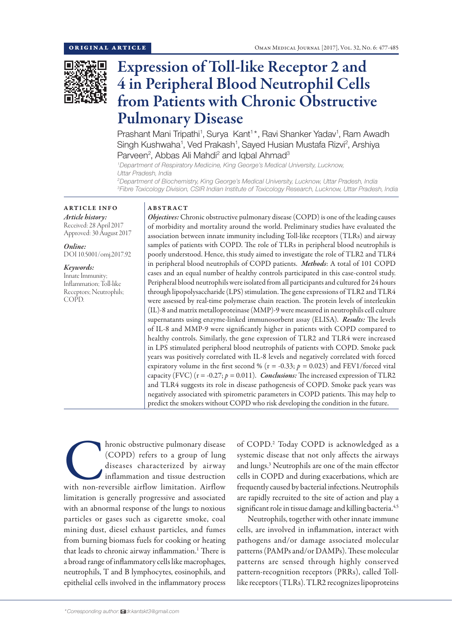

# Expression of Toll-like Receptor 2 and 4 in Peripheral Blood Neutrophil Cells from Patients with Chronic Obstructive Pulmonary Disease

Prashant Mani Tripathi<sup>1</sup>, Surya Kant<sup>1\*</sup>, Ravi Shanker Yadav<sup>1</sup>, Ram Awadh Singh Kushwaha<sup>1</sup>, Ved Prakash<sup>1</sup>, Sayed Husian Mustafa Rizvi<sup>2</sup>, Arshiya Parveen<sup>2</sup>, Abbas Ali Mahdi<sup>2</sup> and Iqbal Ahmad<sup>3</sup>

*1 Department of Respiratory Medicine, King George's Medical University, Lucknow, Uttar Pradesh, India*

*2 Department of Biochemistry, King George's Medical University, Lucknow, Uttar Pradesh, India 3 Fibre Toxicology Division, CSIR Indian Institute of Toxicology Research, Lucknow, Uttar Pradesh, India*

## ARTICLE INFO

*Article history:* Received: 28 April 2017 Approved: 30 August 2017

*Online:* DOI 10.5001/omj.2017.92

*Keywords:*  Innate Immunity; Inflammation; Toll-like Receptors; Neutrophils; COPD.

### ABSTRACT

*Objectives:* Chronic obstructive pulmonary disease (COPD) is one of the leading causes of morbidity and mortality around the world. Preliminary studies have evaluated the association between innate immunity including Toll-like receptors (TLRs) and airway samples of patients with COPD. The role of TLRs in peripheral blood neutrophils is poorly understood. Hence, this study aimed to investigate the role of TLR2 and TLR4 in peripheral blood neutrophils of COPD patients. *Methods*: A total of 101 COPD cases and an equal number of healthy controls participated in this case-control study. Peripheral blood neutrophils were isolated from all participants and cultured for 24 hours through lipopolysaccharide (LPS) stimulation. The gene expressions of TLR2 and TLR4 were assessed by real-time polymerase chain reaction. The protein levels of interleukin (IL)-8 and matrix metalloproteinase (MMP)-9 were measured in neutrophils cell culture supernatants using enzyme-linked immunosorbent assay (ELISA). *Results:* The levels of IL-8 and MMP-9 were significantly higher in patients with COPD compared to healthy controls. Similarly, the gene expression of TLR2 and TLR4 were increased in LPS stimulated peripheral blood neutrophils of patients with COPD. Smoke pack years was positively correlated with IL-8 levels and negatively correlated with forced expiratory volume in the first second % ( $r = -0.33$ ;  $p = 0.023$ ) and FEV1/forced vital capacity (FVC) ( $r = -0.27$ ;  $p = 0.011$ ). *Conclusions:* The increased expression of TLR2 and TLR4 suggests its role in disease pathogenesis of COPD. Smoke pack years was negatively associated with spirometric parameters in COPD patients. This may help to predict the smokers without COPD who risk developing the condition in the future.

Aronic obstructive pulmonary disease (COPD) refers to a group of lung diseases characterized by airway inflammation and tissue destruction with non-reversible airflow limitation. Airflow (COPD) refers to a group of lung diseases characterized by airway inflammation and tissue destruction limitation is generally progressive and associated with an abnormal response of the lungs to noxious particles or gases such as cigarette smoke, coal mining dust, diesel exhaust particles, and fumes from burning biomass fuels for cooking or heating that leads to chronic airway inflammation.<sup>1</sup> There is a broad range of inflammatory cells like macrophages, neutrophils, T and B lymphocytes, eosinophils, and epithelial cells involved in the inflammatory process

of COPD.<sup>2</sup> Today COPD is acknowledged as a systemic disease that not only affects the airways and lungs.3 Neutrophils are one of the main effector cells in COPD and during exacerbations, which are frequently caused by bacterial infections. Neutrophils are rapidly recruited to the site of action and play a significant role in tissue damage and killing bacteria.<sup>4,5</sup>

Neutrophils, together with other innate immune cells, are involved in inflammation, interact with pathogens and/or damage associated molecular patterns (PAMPs and/or DAMPs). These molecular patterns are sensed through highly conserved pattern-recognition receptors (PRRs), called Tolllike receptors (TLRs). TLR2 recognizes lipoproteins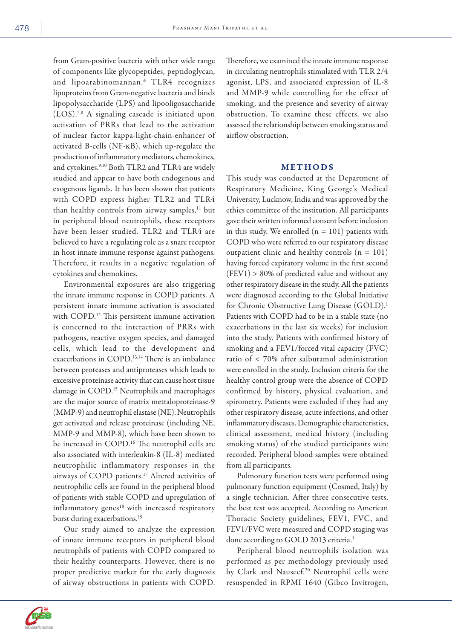from Gram-positive bacteria with other wide range of components like glycopeptides, peptidoglycan, and lipoarabinomannan.6 TLR4 recognizes lipoproteins from Gram-negative bacteria and binds lipopolysaccharide (LPS) and lipooligosaccharide (LOS).7,8 A signaling cascade is initiated upon activation of PRRs that lead to the activation of nuclear factor kappa-light-chain-enhancer of activated B-cells (NF-kB), which up-regulate the production of inflammatory mediators, chemokines, and cytokines.<sup>9,10</sup> Both TLR2 and TLR4 are widely studied and appear to have both endogenous and exogenous ligands. It has been shown that patients with COPD express higher TLR2 and TLR4 than healthy controls from airway samples,<sup>11</sup> but in peripheral blood neutrophils, these receptors have been lesser studied. TLR2 and TLR4 are believed to have a regulating role as a snare receptor in host innate immune response against pathogens. Therefore, it results in a negative regulation of cytokines and chemokines.

Environmental exposures are also triggering the innate immune response in COPD patients. A persistent innate immune activation is associated with COPD.<sup>12</sup> This persistent immune activation is concerned to the interaction of PRRs with pathogens, reactive oxygen species, and damaged cells, which lead to the development and exacerbations in COPD.13,14 There is an imbalance between proteases and antiproteases which leads to excessive proteinase activity that can cause host tissue damage in COPD.<sup>15</sup> Neutrophils and macrophages are the major source of matrix mettaloproteinase-9 (MMP-9) and neutrophil elastase (NE). Neutrophils get activated and release proteinase (including NE, MMP-9 and MMP-8), which have been shown to be increased in COPD.<sup>16</sup> The neutrophil cells are also associated with interleukin-8 (IL-8) mediated neutrophilic inflammatory responses in the airways of COPD patients.17 Altered activities of neutrophilic cells are found in the peripheral blood of patients with stable COPD and upregulation of inflammatory genes<sup>18</sup> with increased respiratory burst during exacerbations.<sup>19</sup>

Our study aimed to analyze the expression of innate immune receptors in peripheral blood neutrophils of patients with COPD compared to their healthy counterparts. However, there is no proper predictive marker for the early diagnosis of airway obstructions in patients with COPD. Therefore, we examined the innate immune response in circulating neutrophils stimulated with TLR 2/4 agonist, LPS, and associated expression of IL-8 and MMP-9 while controlling for the effect of smoking, and the presence and severity of airway obstruction. To examine these effects, we also assessed the relationship between smoking status and airflow obstruction.

#### METHODS

This study was conducted at the Department of Respiratory Medicine, King George's Medical University, Lucknow, India and was approved by the ethics committee of the institution. All participants gave their written informed consent before inclusion in this study. We enrolled  $(n = 101)$  patients with COPD who were referred to our respiratory disease outpatient clinic and healthy controls  $(n = 101)$ having forced expiratory volume in the first second (FEV1) > 80% of predicted value and without any other respiratory disease in the study. All the patients were diagnosed according to the Global Initiative for Chronic Obstructive Lung Disease (GOLD).<sup>1</sup> Patients with COPD had to be in a stable state (no exacerbations in the last six weeks) for inclusion into the study. Patients with confirmed history of smoking and a FEV1/forced vital capacity (FVC) ratio of < 70% after salbutamol administration were enrolled in the study. Inclusion criteria for the healthy control group were the absence of COPD confirmed by history, physical evaluation, and spirometry. Patients were excluded if they had any other respiratory disease, acute infections, and other inflammatory diseases. Demographic characteristics, clinical assessment, medical history (including smoking status) of the studied participants were recorded. Peripheral blood samples were obtained from all participants.

Pulmonary function tests were performed using pulmonary function equipment (Cosmed, Italy) by a single technician. After three consecutive tests, the best test was accepted. According to American Thoracic Society guidelines, FEV1, FVC, and FEV1/FVC were measured and COPD staging was done according to GOLD 2013 criteria.<sup>1</sup>

Peripheral blood neutrophils isolation was performed as per methodology previously used by Clark and Nauseef.<sup>20</sup> Neutrophil cells were resuspended in RPMI 1640 (Gibco Invitrogen,

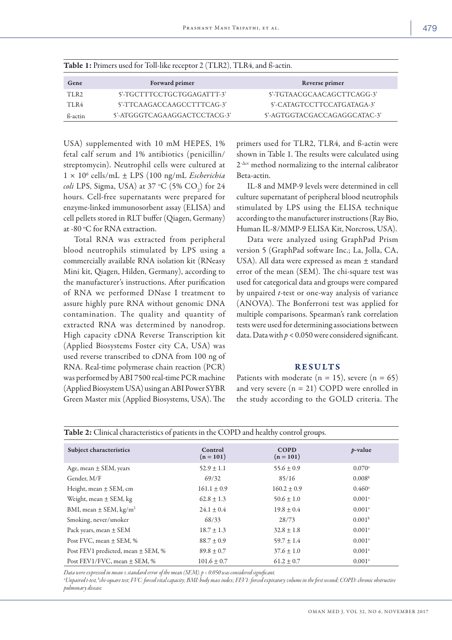| Gene             | <b>Forward primer</b>        | Reverse primer               |
|------------------|------------------------------|------------------------------|
| TLR <sub>2</sub> | 5'-TGCTTTCCTGCTGGAGATTT-3'   | 5'-TGTAACGCAACAGCTTCAGG-3'   |
| TLR4             | 5'-TTCAAGACCAAGCCTTTCAG-3'   | 5'-CATAGTCCTTCCATGATAGA-3'   |
| ß-actin          | 5'-ATGGGTCAGAAGGACTCCTACG-3' | 5'-AGTGGTACGACCAGAGGCATAC-3' |

Table 1: Primers used for Toll-like receptor 2 (TLR2), TLR4, and ß-actin.

USA) supplemented with 10 mM HEPES, 1% fetal calf serum and 1% antibiotics (penicillin/ streptomycin). Neutrophil cells were cultured at 1 × 106 cells/mL ± LPS (100 ng/mL *Escherichia coli* LPS, Sigma, USA) at 37 °C (5% CO<sub>2</sub>) for 24 hours. Cell-free supernatants were prepared for enzyme-linked immunosorbent assay (ELISA) and cell pellets stored in RLT buffer (Qiagen, Germany) at -80 °C for RNA extraction.

Total RNA was extracted from peripheral blood neutrophils stimulated by LPS using a commercially available RNA isolation kit (RNeasy Mini kit, Qiagen, Hilden, Germany), according to the manufacturer's instructions. After purification of RNA we performed DNase I treatment to assure highly pure RNA without genomic DNA contamination. The quality and quantity of extracted RNA was determined by nanodrop. High capacity cDNA Reverse Transcription kit (Applied Biosystems Foster city CA, USA) was used reverse transcribed to cDNA from 100 ng of RNA. Real-time polymerase chain reaction (PCR) was performed by ABI 7500 real-time PCR machine (Applied Biosystem USA) using an ABI Power SYBR Green Master mix (Applied Biosystems, USA). The primers used for TLR2, TLR4, and ß-actin were shown in Table 1. The results were calculated using  $2<sup>-\Delta ct</sup>$  method normalizing to the internal calibrator Beta-actin.

IL-8 and MMP-9 levels were determined in cell culture supernatant of peripheral blood neutrophils stimulated by LPS using the ELISA technique according to the manufacturer instructions (Ray Bio, Human IL-8/MMP-9 ELISA Kit, Norcross, USA).

Data were analyzed using GraphPad Prism version 5 (GraphPad software Inc.; La, Jolla, CA, USA). All data were expressed as mean ± standard error of the mean (SEM). The chi-square test was used for categorical data and groups were compared by unpaired *t*-test or one-way analysis of variance (ANOVA). The Bonferroni test was applied for multiple comparisons. Spearman's rank correlation tests were used for determining associations between data. Data with  $p < 0.050$  were considered significant.

#### RESULTS

Patients with moderate  $(n = 15)$ , severe  $(n = 65)$ and very severe (n = 21) COPD were enrolled in the study according to the GOLD criteria. The

|                                        |                        | $\mathcal{L}$              |                      |
|----------------------------------------|------------------------|----------------------------|----------------------|
| Subject characteristics                | Control<br>$(n = 101)$ | <b>COPD</b><br>$(n = 101)$ | $p$ -value           |
| Age, mean $\pm$ SEM, years             | $52.9 \pm 1.1$         | $55.6 \pm 0.9$             | $0.070$ <sup>a</sup> |
| Gender, M/F                            | 69/32                  | 85/16                      | 0.008 <sup>b</sup>   |
| Height, mean $\pm$ SEM, cm             | $161.1 \pm 0.9$        | $160.2 \pm 0.9$            | $0.460^{\circ}$      |
| Weight, mean $\pm$ SEM, kg             | $62.8 \pm 1.3$         | $50.6 \pm 1.0$             | $0.001^{\circ}$      |
| BMI, mean $\pm$ SEM, kg/m <sup>2</sup> | $24.1 \pm 0.4$         | $19.8 \pm 0.4$             | $0.001^{\circ}$      |
| Smoking, never/smoker                  | 68/33                  | 28/73                      | 0.001 <sup>b</sup>   |
| Pack years, mean $\pm$ SEM             | $18.7 \pm 1.3$         | $32.8 \pm 1.8$             | $0.001$ <sup>a</sup> |
| Post FVC, mean $\pm$ SEM, %            | $88.7 \pm 0.9$         | $59.7 \pm 1.4$             | $0.001^{\circ}$      |
| Post FEV1 predicted, mean ± SEM, %     | $89.8 \pm 0.7$         | $37.6 \pm 1.0$             | $0.001^{\circ}$      |
| Post FEV1/FVC, mean $\pm$ SEM, %       | $101.6 \pm 0.7$        | $61.2 \pm 0.7$             | $0.001$ <sup>a</sup> |

Table 2: Clinical characteristics of patients in the COPD and healthy control groups.

*Data were expressed in mean ± standard error of the mean (SEM). p < 0.050 was considered significant.*

*a Unpaired t-test, b chi-square test; FVC: forced vital capacity; BMI: body mass index; FEV1: forced expiratory volume in the first second; COPD: chronic obstructive pulmonary disease.*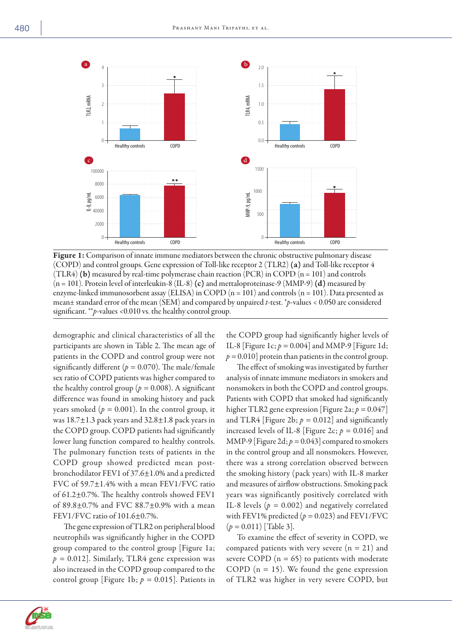

Figure 1: Comparison of innate immune mediators between the chronic obstructive pulmonary disease (COPD) and control groups. Gene expression of Toll-like receptor 2 (TLR2) (a) and Toll-like receptor 4 (TLR4) (b) measured by real-time polymerase chain reaction (PCR) in COPD ( $n = 101$ ) and controls  $(n = 101)$ . Protein level of interleukin-8 (IL-8) (c) and mettaloproteinase-9 (MMP-9) (d) measured by enzyme-linked immunosorbent assay (ELISA) in COPD  $(n = 101)$  and controls  $(n = 101)$ . Data presented as mean± standard error of the mean (SEM) and compared by unpaired *t*-test. \**p*-values < 0.050 are considered significant. \*\**p*-values <0.010 vs. the healthy control group.

demographic and clinical characteristics of all the participants are shown in Table 2. The mean age of patients in the COPD and control group were not significantly different ( $p = 0.070$ ). The male/female sex ratio of COPD patients was higher compared to the healthy control group ( $p = 0.008$ ). A significant difference was found in smoking history and pack years smoked ( $p = 0.001$ ). In the control group, it was  $18.7\pm1.3$  pack years and  $32.8\pm1.8$  pack years in the COPD group. COPD patients had significantly lower lung function compared to healthy controls. The pulmonary function tests of patients in the COPD group showed predicted mean postbronchodilator FEV1 of 37.6±1.0% and a predicted FVC of 59.7±1.4% with a mean FEV1/FVC ratio of 61.2±0.7%. The healthy controls showed FEV1 of 89.8±0.7% and FVC 88.7±0.9% with a mean FEV1/FVC ratio of 101.6±0.7%.

The gene expression of TLR2 on peripheral blood neutrophils was significantly higher in the COPD group compared to the control group [Figure 1a;  $p = 0.012$ ]. Similarly, TLR4 gene expression was also increased in the COPD group compared to the control group [Figure 1b; *p =* 0.015]. Patients in

the COPD group had significantly higher levels of IL-8 [Figure 1c;  $p = 0.004$ ] and MMP-9 [Figure 1d;  $p = 0.010$ ] protein than patients in the control group.

The effect of smoking was investigated by further analysis of innate immune mediators in smokers and nonsmokers in both the COPD and control groups. Patients with COPD that smoked had significantly higher TLR2 gene expression [Figure 2a; *p =* 0.047] and TLR4 [Figure 2b;  $p = 0.012$ ] and significantly increased levels of IL-8 [Figure 2c;  $p = 0.016$ ] and MMP-9 [Figure 2d;  $p = 0.043$ ] compared to smokers in the control group and all nonsmokers. However, there was a strong correlation observed between the smoking history (pack years) with IL-8 marker and measures of airflow obstructions. Smoking pack years was significantly positively correlated with IL-8 levels  $(p = 0.002)$  and negatively correlated with FEV1% predicted  $(p = 0.023)$  and FEV1/FVC (*p =* 0.011) [Table 3].

To examine the effect of severity in COPD, we compared patients with very severe  $(n = 21)$  and severe COPD  $(n = 65)$  to patients with moderate COPD ( $n = 15$ ). We found the gene expression of TLR2 was higher in very severe COPD, but

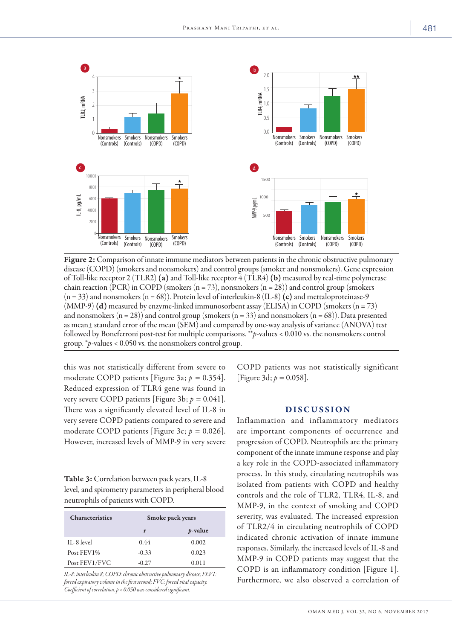

Figure 2: Comparison of innate immune mediators between patients in the chronic obstructive pulmonary disease (COPD) (smokers and nonsmokers) and control groups (smoker and nonsmokers). Gene expression of Toll-like receptor 2 (TLR2) (a) and Toll-like receptor 4 (TLR4) (b) measured by real-time polymerase chain reaction (PCR) in COPD (smokers (n = 73), nonsmokers (n = 28)) and control group (smokers  $(n = 33)$  and nonsmokers  $(n = 68)$ ). Protein level of interleukin-8 (IL-8) (c) and mettaloproteinase-9  $(MMP-9)$  (d) measured by enzyme-linked immunosorbent assay (ELISA) in COPD (smokers (n = 73) and nonsmokers  $(n = 28)$  and control group (smokers  $(n = 33)$  and nonsmokers  $(n = 68)$ ). Data presented as mean± standard error of the mean (SEM) and compared by one-way analysis of variance (ANOVA) test followed by Boneferroni post-test for multiple comparisons. \*\**p*-values < 0.010 vs. the nonsmokers control group. \**p*-values < 0.050 vs. the nonsmokers control group.

this was not statistically different from severe to moderate COPD patients [Figure 3a; *p =* 0.354]. Reduced expression of TLR4 gene was found in very severe COPD patients [Figure 3b; *p =* 0.041]. There was a significantly elevated level of IL-8 in very severe COPD patients compared to severe and moderate COPD patients [Figure 3c; *p =* 0.026]. However, increased levels of MMP-9 in very severe

| Table 3: Correlation between pack years, IL-8        |
|------------------------------------------------------|
| level, and spirometry parameters in peripheral blood |
| neutrophils of patients with COPD.                   |

| <b>Characteristics</b> | Smoke pack years |                 |
|------------------------|------------------|-----------------|
|                        | r                | <i>p</i> -value |
| IL-8 level             | 0.44             | 0.002           |
| Post FEV1%             | $-0.33$          | 0.023           |
| Post FEV1/FVC          | $-0.27$          | 0.011           |

*IL-8: interleukin 8; COPD: chronic obstructive pulmonary disease; FEV1: forced expiratory volume in the first second; FVC: forced vital capacity. Coefficient of correlation. p < 0.050 was considered significant.*

COPD patients was not statistically significant [Figure 3d; *p =* 0.058].

#### DISCUSSION

Inflammation and inflammatory mediators are important components of occurrence and progression of COPD. Neutrophils are the primary component of the innate immune response and play a key role in the COPD-associated inflammatory process. In this study, circulating neutrophils was isolated from patients with COPD and healthy controls and the role of TLR2, TLR4, IL-8, and MMP-9, in the context of smoking and COPD severity, was evaluated. The increased expression of TLR2/4 in circulating neutrophils of COPD indicated chronic activation of innate immune responses. Similarly, the increased levels of IL-8 and MMP-9 in COPD patients may suggest that the COPD is an inflammatory condition [Figure 1]. Furthermore, we also observed a correlation of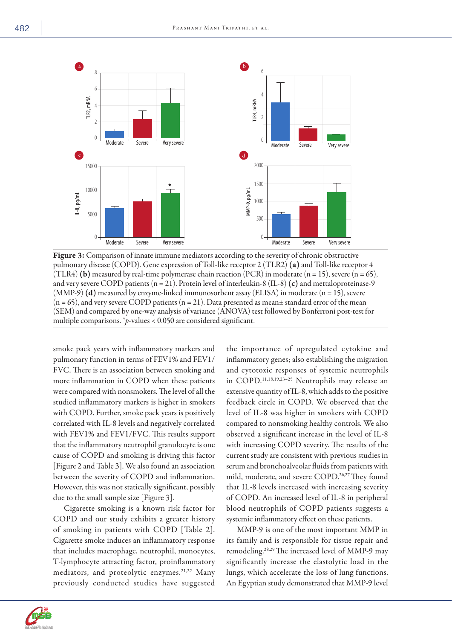

Figure 3: Comparison of innate immune mediators according to the severity of chronic obstructive pulmonary disease (COPD). Gene expression of Toll-like receptor 2 (TLR2) (a) and Toll-like receptor 4 (TLR4) **(b)** measured by real-time polymerase chain reaction (PCR) in moderate (n = 15), severe (n = 65), and very severe COPD patients  $(n = 21)$ . Protein level of interleukin-8 (IL-8) (c) and mettaloproteinase-9 (MMP-9) (d) measured by enzyme-linked immunosorbent assay (ELISA) in moderate (n = 15), severe  $(n = 65)$ , and very severe COPD patients  $(n = 21)$ . Data presented as mean $\pm$  standard error of the mean (SEM) and compared by one-way analysis of variance (ANOVA) test followed by Bonferroni post-test for multiple comparisons. *\*p*-values < 0.050 are considered significant.

smoke pack years with inflammatory markers and pulmonary function in terms of FEV1% and FEV1/ FVC. There is an association between smoking and more inflammation in COPD when these patients were compared with nonsmokers. The level of all the studied inflammatory markers is higher in smokers with COPD. Further, smoke pack years is positively correlated with IL-8 levels and negatively correlated with FEV1% and FEV1/FVC. This results support that the inflammatory neutrophil granulocyte is one cause of COPD and smoking is driving this factor [Figure 2 and Table 3]. We also found an association between the severity of COPD and inflammation. However, this was not statically significant, possibly due to the small sample size [Figure 3].

Cigarette smoking is a known risk factor for COPD and our study exhibits a greater history of smoking in patients with COPD [Table 2]. Cigarette smoke induces an inflammatory response that includes macrophage, neutrophil, monocytes, T-lymphocyte attracting factor, proinflammatory mediators, and proteolytic enzymes.<sup>21,22</sup> Many previously conducted studies have suggested the importance of upregulated cytokine and inflammatory genes; also establishing the migration and cytotoxic responses of systemic neutrophils in COPD.11,18,19,23–25 Neutrophils may release an extensive quantity of IL-8, which adds to the positive feedback circle in COPD. We observed that the level of IL-8 was higher in smokers with COPD compared to nonsmoking healthy controls. We also observed a significant increase in the level of IL-8 with increasing COPD severity. The results of the current study are consistent with previous studies in serum and bronchoalveolar fluids from patients with mild, moderate, and severe COPD.<sup>26,27</sup> They found that IL-8 levels increased with increasing severity of COPD. An increased level of IL-8 in peripheral blood neutrophils of COPD patients suggests a systemic inflammatory effect on these patients.

MMP-9 is one of the most important MMP in its family and is responsible for tissue repair and remodeling.28,29 The increased level of MMP-9 may significantly increase the elastolytic load in the lungs, which accelerate the loss of lung functions. An Egyptian study demonstrated that MMP-9 level

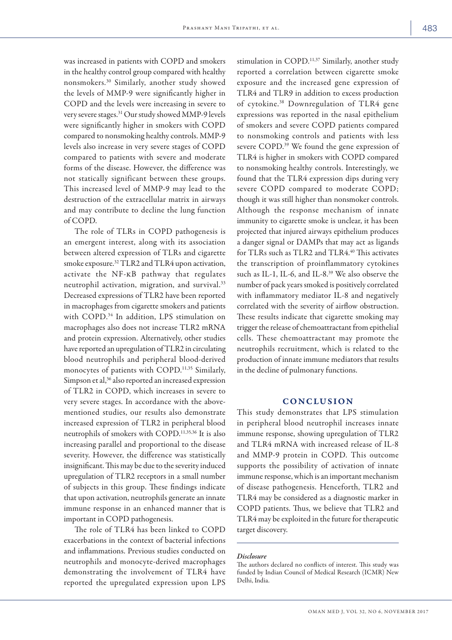was increased in patients with COPD and smokers in the healthy control group compared with healthy nonsmokers.30 Similarly, another study showed the levels of MMP-9 were significantly higher in COPD and the levels were increasing in severe to very severe stages.31 Our study showed MMP-9 levels were significantly higher in smokers with COPD compared to nonsmoking healthy controls. MMP-9 levels also increase in very severe stages of COPD compared to patients with severe and moderate forms of the disease. However, the difference was not statically significant between these groups. This increased level of MMP-9 may lead to the destruction of the extracellular matrix in airways and may contribute to decline the lung function of COPD.

The role of TLRs in COPD pathogenesis is an emergent interest, along with its association between altered expression of TLRs and cigarette smoke exposure.32 TLR2 and TLR4 upon activation, activate the NF-kB pathway that regulates neutrophil activation, migration, and survival.33 Decreased expressions of TLR2 have been reported in macrophages from cigarette smokers and patients with COPD.34 In addition, LPS stimulation on macrophages also does not increase TLR2 mRNA and protein expression. Alternatively, other studies have reported an upregulation of TLR2 in circulating blood neutrophils and peripheral blood-derived monocytes of patients with COPD.<sup>11,35</sup> Similarly, Simpson et al,<sup>36</sup> also reported an increased expression of TLR2 in COPD, which increases in severe to very severe stages. In accordance with the abovementioned studies, our results also demonstrate increased expression of TLR2 in peripheral blood neutrophils of smokers with COPD.11,35,36 It is also increasing parallel and proportional to the disease severity. However, the difference was statistically insignificant. This may be due to the severity induced upregulation of TLR2 receptors in a small number of subjects in this group. These findings indicate that upon activation, neutrophils generate an innate immune response in an enhanced manner that is important in COPD pathogenesis.

The role of TLR4 has been linked to COPD exacerbations in the context of bacterial infections and inflammations. Previous studies conducted on neutrophils and monocyte-derived macrophages demonstrating the involvement of TLR4 have reported the upregulated expression upon LPS

stimulation in COPD.<sup>11,37</sup> Similarly, another study reported a correlation between cigarette smoke exposure and the increased gene expression of TLR4 and TLR9 in addition to excess production of cytokine.38 Downregulation of TLR4 gene expressions was reported in the nasal epithelium of smokers and severe COPD patients compared to nonsmoking controls and patients with less severe COPD.39 We found the gene expression of TLR4 is higher in smokers with COPD compared to nonsmoking healthy controls. Interestingly, we found that the TLR4 expression dips during very severe COPD compared to moderate COPD; though it was still higher than nonsmoker controls. Although the response mechanism of innate immunity to cigarette smoke is unclear, it has been projected that injured airways epithelium produces a danger signal or DAMPs that may act as ligands for TLRs such as TLR2 and TLR4.<sup>40</sup> This activates the transcription of proinflammatory cytokines such as IL-1, IL-6, and IL-8.<sup>39</sup> We also observe the number of pack years smoked is positively correlated with inflammatory mediator IL-8 and negatively correlated with the severity of airflow obstruction. These results indicate that cigarette smoking may trigger the release of chemoattractant from epithelial cells. These chemoattractant may promote the neutrophils recruitment, which is related to the production of innate immune mediators that results in the decline of pulmonary functions.

#### CONCLUSION

This study demonstrates that LPS stimulation in peripheral blood neutrophil increases innate immune response, showing upregulation of TLR2 and TLR4 mRNA with increased release of IL-8 and MMP-9 protein in COPD. This outcome supports the possibility of activation of innate immune response, which is an important mechanism of disease pathogenesis. Henceforth, TLR2 and TLR4 may be considered as a diagnostic marker in COPD patients. Thus, we believe that TLR2 and TLR4 may be exploited in the future for therapeutic target discovery.

#### *Disclosure*

The authors declared no conflicts of interest. This study was funded by Indian Council of Medical Research (ICMR) New Delhi, India.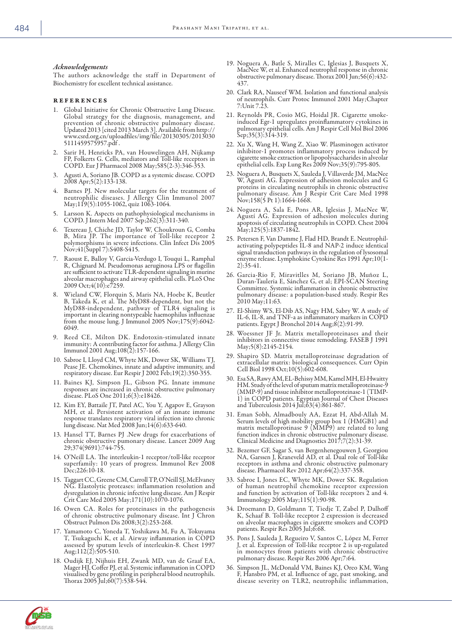#### *Acknowledgements*

The authors acknowledge the staff in Department of Biochemistry for excellent technical assistance.

#### references

- Global Initiative for Chronic Obstructive Lung Disease. Global strategy for the diagnosis, management, and prevention of chronic obstructive pulmonary disease. Updated 2013 [cited 2013 March 3]. Available from http:// www.csrd.org.cn/uploadfiles/img/file/20130305/2013030 5111459575957.pdf .
- Sarir H, Henricks PA, van Houwelingen AH, Nijkamp FP, Folkerts G. Cells, mediators and Toll-like receptors in COPD. Eur J Pharmacol 2008 May;585(2-3):346-353.
- 3. Agusti A, Soriano JB. COPD as a systemic disease. COPD 2008 Apr;5(2):133-138.
- Barnes PJ. New molecular targets for the treatment of neutrophilic diseases. J Allergy Clin Immunol 2007 May;119(5):1055-1062, quiz 1063-1064.
- 5. Larsson K. Aspects on pathophysiological mechanisms in COPD. J Intern Med 2007 Sep;262(3):311-340.
- 6. Texereau J, Chiche JD, Taylor W, Choukroun G, Comba B, Mira JP. The importance of Toll-like receptor 2 polymorphisms in severe infections. Clin Infect Dis 2005 Nov;41(Suppl 7):S408-S415.
- 7. Raoust E, Balloy V, Garcia-Verdugo I, Touqui L, Ramphal R, Chignard M. Pseudomonas aeruginosa LPS or flagellin are sufficient to activate TLR-dependent signaling in murine alveolar macrophages and airway epithelial cells. PLoS One 2009 Oct;4(10):e7259.
- 8. Wieland CW, Florquin S, Maris NA, Hoebe K, Beutler B, Takeda K, et al. The MyD88-dependent, but not the MyD88-independent, pathway of TLR4 signaling is important in clearing nontypeable haemophilus influenzae from the mouse lung. J Immunol 2005  $\text{Nov};175(9):6042-$ 6049.
- 9. Reed CE, Milton DK. Endotoxin-stimulated innate immunity: A contributing factor for asthma. J Allergy Clin Immunol 2001 Aug;108(2):157-166.
- 10. Sabroe I, Lloyd CM, Whyte MK, Dower SK, Williams TJ, Pease JE. Chemokines, innate and adaptive immunity, and respiratory disease. Eur Respir J 2002 Feb;19(2):350-355.
- 11. Baines KJ, Simpson JL, Gibson PG. Innate immune responses are increased in chronic obstructive pulmonary disease. PLoS One 2011;6(3):e18426.
- 12. Kim EY, Battaile JT, Patel AC, You Y, Agapov E, Grayson MH, et al. Persistent activation of an innate immune response translates respiratory viral infection into chronic lung disease. Nat Med 2008 Jun;14(6):633-640.
- 13. Hansel TT, Barnes PJ .New drugs for exacerbations of chronic obstructive pumonary disease. Lancet 2009 Aug 29;374(9691):744-755.
- 14. O'Neill LA. The interleukin-1 receptor/toll-like receptor superfamily: 10 years of progress. Immunol Rev 2008 Dec; 226:10-18.
- 15. Taggart CC, Greene CM, Carroll TP, O'Neill SJ, McElvaney NG. Elastolytic proteases: inflammation resolution and dysregulation in chronic infective lung disease. Am J Respir Crit Care Med 2005 May;171(10):1070-1076.
- 16. Owen CA. Roles for proteinases in the pathogenesis of chronic obstructive pulmonary disease. Int J Chron Obstruct Pulmon Dis 2008;3(2):253-268.
- 17. Yamamoto C, Yoneda T, Yoshikawa M, Fu A, Tokuyama T, Tsukaguchi K, et al. Airway inflammation in COPD assessed by sputum levels of interleukin-8. Chest 1997 Aug;112(2):505-510.
- 18. Oudijk EJ, Nijhuis EH, Zwank MD, van de Graaf EA, Mager HJ, Coffer PJ, et al. Systemic inflammation in COPD visualised by gene profiling in peripheral blood neutrophils. Thorax 2005 Jul;60(7):538-544.
- 19. Noguera A, Batle S, Miralles C, Iglesias J, Busquets X, MacNee W, et al. Enhanced neutrophil response in chronic obstructive pulmonary disease. Thorax 2001 Jun;56(6):432- 437.
- 20. Clark RA, Nauseef WM. Isolation and functional analysis of neutrophils. Curr Protoc Immunol 2001 May;Chapter 7:Unit 7.23.
- 21. Reynolds PR, Cosio MG, Hoidal JR. Cigarette smokeinduced Egr-1 upregulates proinflammatory cytokines in pulmonary epithelial cells. Am J Respir Cell Mol Biol 2006 Sep;35(3):314-319.
- 22. Xu X, Wang H, Wang Z, Xiao W. Plasminogen activator inhibitor-1 promotes inflammatory process induced by cigarette smoke extraction or lipopolysaccharides in alveolar epithelial cells. Exp Lung Res 2009 Nov;35(9):795-805.
- 23. Noguera A, Busquets X, Sauleda J, Villaverde JM, MacNee W, Agustí AG. Expression of adhesion molecules and G proteins in circulating neutrophils in chronic obstructive pulmonary disease. Am J Respir Crit Care Med 1998 Nov;158(5 Pt 1):1664-1668.
- 24. Noguera A, Sala E, Pons AR, Iglesias J, MacNee W, Agustí AG. Expression of adhesion molecules during apoptosis of circulating neutrophils in COPD. Chest 2004 May;125(5):1837-1842.
- 25. Petersen F, Van Damme J, Flad HD, Brandt E. Neutrophilactivating polypeptides IL-8 and NAP-2 induce identical signal transduction pathways in the regulation of lysosomal enzyme release. Lymphokine Cytokine Res 1991 Apr;10(1- 2):35-41.
- 26. Garcia-Rio F, Miravitlles M, Soriano JB, Muñoz L, Duran-Tauleria E, Sánchez G, et al; EPI-SCAN Steering Committee. Systemic inflammation in chronic obstructive pulmonary disease: a population-based study. Respir Res 2010 May;11:63.
- 27. El-Shimy WS, El-Dib AS, Nagy HM, Sabry W. A study of IL-6, IL-8, and TNF-a as inflammatory markers in COPD patients. Egypt J Bronchol 2014 Aug;8(2):91-99.
- 28. Woessner JF Jr. Matrix metalloproteinases and their inhibitors in connective tissue remodeling. FASEB J 1991 May;5(8):2145-2154.
- 29. Shapiro SD. Matrix metalloproteinase degradation of extracellular matrix: biological consequences. Curr Opin Cell Biol 1998 Oct;10(5):602-608.
- 30. Esa SA, Rawy AM, EL-Behissy MM, Kamel MH, El-Hwaitty HM. Study of the level of sputum matrix metalloproteinase-9 (MMP-9) and tissue inhibitor metalloproteinase-1 (TIMP-1) in COPD patients. Egyptian Journal of Chest Diseases and Tuberculosis 2014 Jul;63(4):861-867.
- 31. Eman Sobh, Almadbouly AA, Ezzat H, Abd-Allah M. Serum levels of high mobility group box 1 (HMGB1) and matrix metalloprotinase 9 (MMP9) are related to lung function indices in chronic obstructive pulmonary disease. Clinical Medicine and Diagnostics 2017;7(2):31-39.
- 32. Bezemer GF, Sagar S, van Bergenhenegouwen J, Georgiou NA, Garssen J, Kraneveld AD, et al. Dual role of Toll-like receptors in asthma and chronic obstructive pulmonary disease. Pharmacol Rev 2012 Apr;64(2):337-358.
- 33. Sabroe I, Jones EC, Whyte MK, Dower SK. Regulation of human neutrophil chemokine receptor expression and function by activation of Toll-like receptors 2 and 4. Immunology 2005 May;115(1):90-98.
- 34. Droemann D, Goldmann T, Tiedje T, Zabel P, Dalhoff K, Schaaf B. Toll-like receptor 2 expression is decreased on alveolar macrophages in cigarette smokers and COPD patients. Respir Res 2005 Jul;6:68.
- 35. Pons J, Sauleda J, Regueiro V, Santos C, López M, Ferrer J, et al. Expression of Toll-like receptor 2 is up-regulated in monocytes from patients with chronic obstructive pulmonary disease. Respir Res 2006 Apr;7:64.
- 36. Simpson JL, McDonald VM, Baines KJ, Oreo KM, Wang F, Hansbro PM, et al. Influence of age, past smoking, and disease severity on TLR2, neutrophilic inflammation,